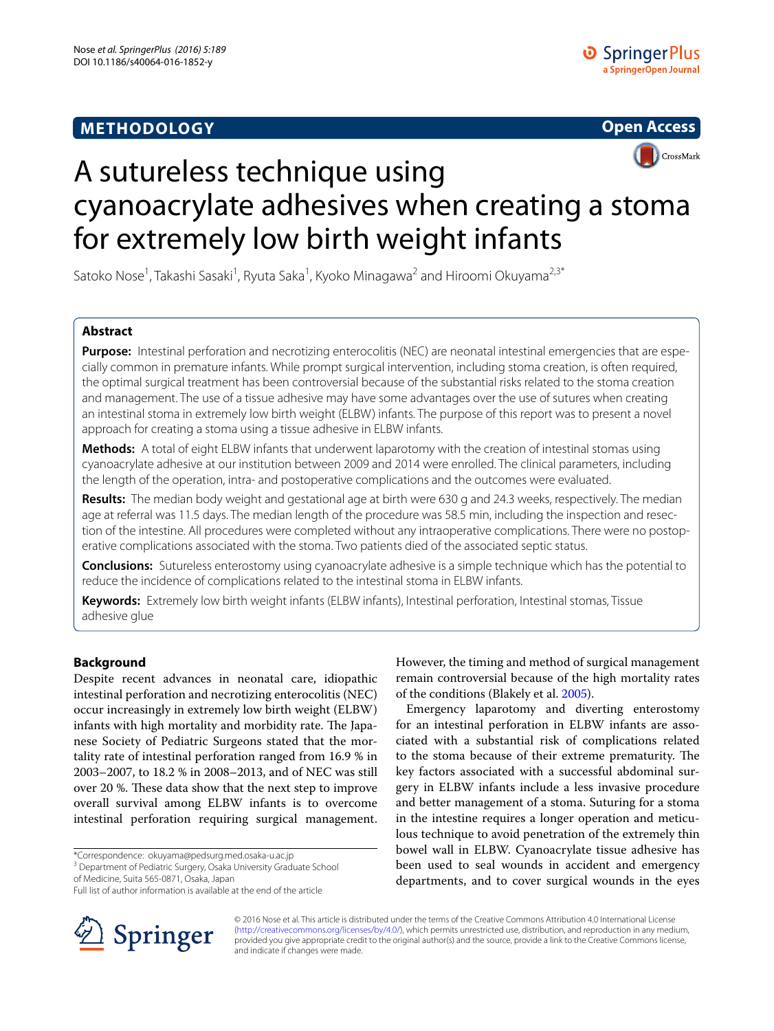# **METHODOLOGY**



# A sutureless technique using cyanoacrylate adhesives when creating a stoma for extremely low birth weight infants

Satoko Nose<sup>1</sup>, Takashi Sasaki<sup>1</sup>, Ryuta Saka<sup>1</sup>, Kyoko Minagawa<sup>2</sup> and Hiroomi Okuyama<sup>2,3\*</sup>

## **Abstract**

**Purpose:** Intestinal perforation and necrotizing enterocolitis (NEC) are neonatal intestinal emergencies that are especially common in premature infants. While prompt surgical intervention, including stoma creation, is often required, the optimal surgical treatment has been controversial because of the substantial risks related to the stoma creation and management. The use of a tissue adhesive may have some advantages over the use of sutures when creating an intestinal stoma in extremely low birth weight (ELBW) infants. The purpose of this report was to present a novel approach for creating a stoma using a tissue adhesive in ELBW infants.

**Methods:** A total of eight ELBW infants that underwent laparotomy with the creation of intestinal stomas using cyanoacrylate adhesive at our institution between 2009 and 2014 were enrolled. The clinical parameters, including the length of the operation, intra- and postoperative complications and the outcomes were evaluated.

**Results:** The median body weight and gestational age at birth were 630 g and 24.3 weeks, respectively. The median age at referral was 11.5 days. The median length of the procedure was 58.5 min, including the inspection and resection of the intestine. All procedures were completed without any intraoperative complications. There were no postoperative complications associated with the stoma. Two patients died of the associated septic status.

**Conclusions:** Sutureless enterostomy using cyanoacrylate adhesive is a simple technique which has the potential to reduce the incidence of complications related to the intestinal stoma in ELBW infants.

**Keywords:** Extremely low birth weight infants (ELBW infants), Intestinal perforation, Intestinal stomas, Tissue adhesive glue

## **Background**

Despite recent advances in neonatal care, idiopathic intestinal perforation and necrotizing enterocolitis (NEC) occur increasingly in extremely low birth weight (ELBW) infants with high mortality and morbidity rate. The Japanese Society of Pediatric Surgeons stated that the mortality rate of intestinal perforation ranged from 16.9 % in 2003–2007, to 18.2 % in 2008–2013, and of NEC was still over 20 %. These data show that the next step to improve overall survival among ELBW infants is to overcome intestinal perforation requiring surgical management.

\*Correspondence: okuyama@pedsurg.med.osaka-u.ac.jp 3

<sup>3</sup> Department of Pediatric Surgery, Osaka University Graduate School

of Medicine, Suita 565-0871, Osaka, Japan



Emergency laparotomy and diverting enterostomy for an intestinal perforation in ELBW infants are associated with a substantial risk of complications related to the stoma because of their extreme prematurity. The key factors associated with a successful abdominal surgery in ELBW infants include a less invasive procedure and better management of a stoma. Suturing for a stoma in the intestine requires a longer operation and meticulous technique to avoid penetration of the extremely thin bowel wall in ELBW. Cyanoacrylate tissue adhesive has been used to seal wounds in accident and emergency departments, and to cover surgical wounds in the eyes



© 2016 Nose et al. This article is distributed under the terms of the Creative Commons Attribution 4.0 International License [\(http://creativecommons.org/licenses/by/4.0/\)](http://creativecommons.org/licenses/by/4.0/), which permits unrestricted use, distribution, and reproduction in any medium, provided you give appropriate credit to the original author(s) and the source, provide a link to the Creative Commons license, and indicate if changes were made.

Full list of author information is available at the end of the article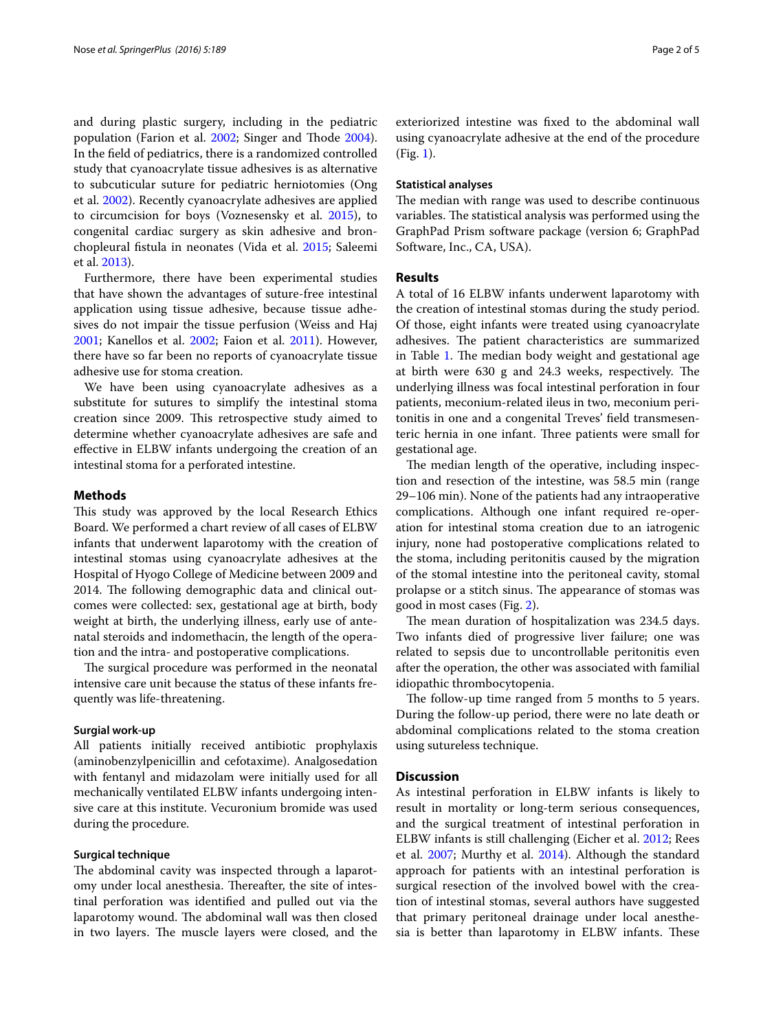and during plastic surgery, including in the pediatric population (Farion et al. [2002;](#page-3-1) Singer and Thode [2004](#page-4-0)). In the field of pediatrics, there is a randomized controlled study that cyanoacrylate tissue adhesives is as alternative to subcuticular suture for pediatric herniotomies (Ong et al. [2002\)](#page-4-1). Recently cyanoacrylate adhesives are applied to circumcision for boys (Voznesensky et al. [2015](#page-4-2)), to congenital cardiac surgery as skin adhesive and bronchopleural fistula in neonates (Vida et al. [2015;](#page-4-3) Saleemi et al. [2013\)](#page-4-4).

Furthermore, there have been experimental studies that have shown the advantages of suture-free intestinal application using tissue adhesive, because tissue adhesives do not impair the tissue perfusion (Weiss and Haj [2001](#page-4-5); Kanellos et al. [2002;](#page-4-6) Faion et al. [2011\)](#page-3-2). However, there have so far been no reports of cyanoacrylate tissue adhesive use for stoma creation.

We have been using cyanoacrylate adhesives as a substitute for sutures to simplify the intestinal stoma creation since 2009. This retrospective study aimed to determine whether cyanoacrylate adhesives are safe and effective in ELBW infants undergoing the creation of an intestinal stoma for a perforated intestine.

## **Methods**

This study was approved by the local Research Ethics Board. We performed a chart review of all cases of ELBW infants that underwent laparotomy with the creation of intestinal stomas using cyanoacrylate adhesives at the Hospital of Hyogo College of Medicine between 2009 and 2014. The following demographic data and clinical outcomes were collected: sex, gestational age at birth, body weight at birth, the underlying illness, early use of antenatal steroids and indomethacin, the length of the operation and the intra- and postoperative complications.

The surgical procedure was performed in the neonatal intensive care unit because the status of these infants frequently was life-threatening.

#### **Surgial work‑up**

All patients initially received antibiotic prophylaxis (aminobenzylpenicillin and cefotaxime). Analgosedation with fentanyl and midazolam were initially used for all mechanically ventilated ELBW infants undergoing intensive care at this institute. Vecuronium bromide was used during the procedure.

#### **Surgical technique**

The abdominal cavity was inspected through a laparotomy under local anesthesia. Thereafter, the site of intestinal perforation was identified and pulled out via the laparotomy wound. The abdominal wall was then closed in two layers. The muscle layers were closed, and the exteriorized intestine was fixed to the abdominal wall using cyanoacrylate adhesive at the end of the procedure (Fig. [1\)](#page-2-0).

#### **Statistical analyses**

The median with range was used to describe continuous variables. The statistical analysis was performed using the GraphPad Prism software package (version 6; GraphPad Software, Inc., CA, USA).

#### **Results**

A total of 16 ELBW infants underwent laparotomy with the creation of intestinal stomas during the study period. Of those, eight infants were treated using cyanoacrylate adhesives. The patient characteristics are summarized in Table [1.](#page-2-1) The median body weight and gestational age at birth were 630 g and 24.3 weeks, respectively. The underlying illness was focal intestinal perforation in four patients, meconium-related ileus in two, meconium peritonitis in one and a congenital Treves' field transmesenteric hernia in one infant. Three patients were small for gestational age.

The median length of the operative, including inspection and resection of the intestine, was 58.5 min (range 29–106 min). None of the patients had any intraoperative complications. Although one infant required re-operation for intestinal stoma creation due to an iatrogenic injury, none had postoperative complications related to the stoma, including peritonitis caused by the migration of the stomal intestine into the peritoneal cavity, stomal prolapse or a stitch sinus. The appearance of stomas was good in most cases (Fig. [2\)](#page-2-2).

The mean duration of hospitalization was 234.5 days. Two infants died of progressive liver failure; one was related to sepsis due to uncontrollable peritonitis even after the operation, the other was associated with familial idiopathic thrombocytopenia.

The follow-up time ranged from 5 months to 5 years. During the follow-up period, there were no late death or abdominal complications related to the stoma creation using sutureless technique.

## **Discussion**

As intestinal perforation in ELBW infants is likely to result in mortality or long-term serious consequences, and the surgical treatment of intestinal perforation in ELBW infants is still challenging (Eicher et al. [2012;](#page-3-3) Rees et al. [2007;](#page-4-7) Murthy et al. [2014](#page-4-8)). Although the standard approach for patients with an intestinal perforation is surgical resection of the involved bowel with the creation of intestinal stomas, several authors have suggested that primary peritoneal drainage under local anesthesia is better than laparotomy in ELBW infants. These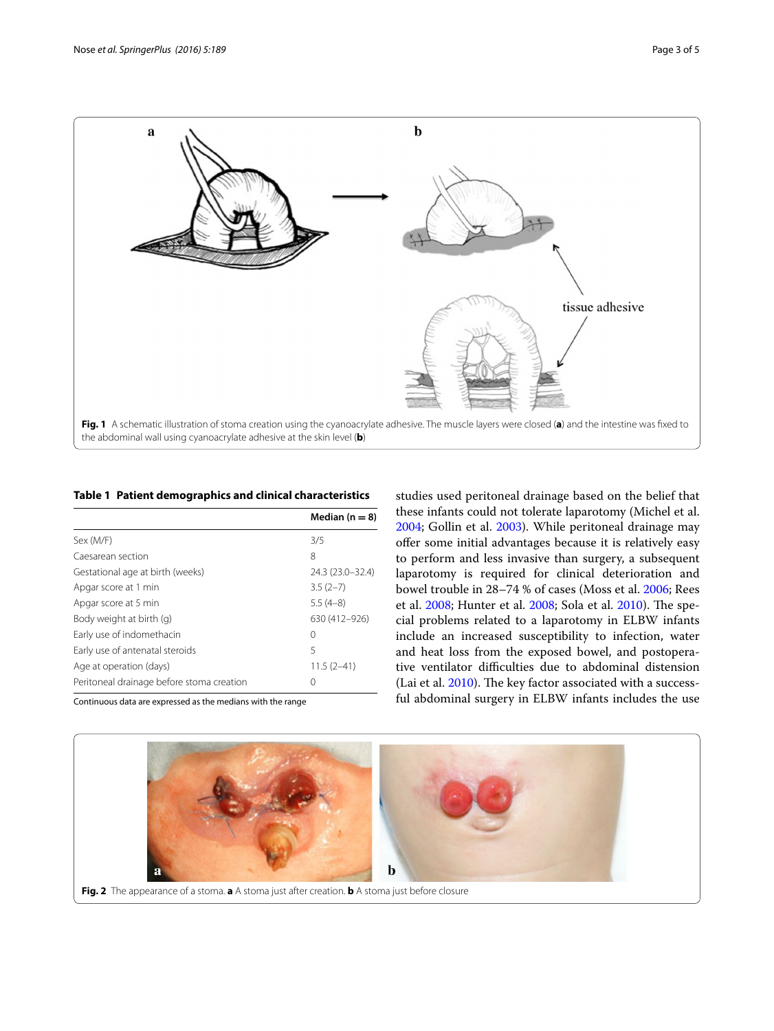

#### <span id="page-2-1"></span><span id="page-2-0"></span>**Table 1 Patient demographics and clinical characteristics**

|                                           | Median $(n = 8)$ |
|-------------------------------------------|------------------|
| Sex (M/F)                                 | 3/5              |
| Caesarean section                         | 8                |
| Gestational age at birth (weeks)          | 24.3 (23.0–32.4) |
| Apgar score at 1 min                      | $3.5(2-7)$       |
| Apgar score at 5 min                      | $5.5(4-8)$       |
| Body weight at birth (g)                  | 630 (412-926)    |
| Early use of indomethacin                 | 0                |
| Early use of antenatal steroids           | 5                |
| Age at operation (days)                   | $11.5(2-41)$     |
| Peritoneal drainage before stoma creation | 0                |

Continuous data are expressed as the medians with the range

studies used peritoneal drainage based on the belief that these infants could not tolerate laparotomy (Michel et al. [2004](#page-4-9); Gollin et al. [2003\)](#page-3-4). While peritoneal drainage may offer some initial advantages because it is relatively easy to perform and less invasive than surgery, a subsequent laparotomy is required for clinical deterioration and bowel trouble in 28–74 % of cases (Moss et al. [2006;](#page-4-10) Rees et al. [2008](#page-4-11); Hunter et al. [2008;](#page-3-5) Sola et al. [2010\)](#page-4-12). The special problems related to a laparotomy in ELBW infants include an increased susceptibility to infection, water and heat loss from the exposed bowel, and postoperative ventilator difficulties due to abdominal distension (Lai et al. [2010\)](#page-4-13). The key factor associated with a successful abdominal surgery in ELBW infants includes the use

<span id="page-2-2"></span>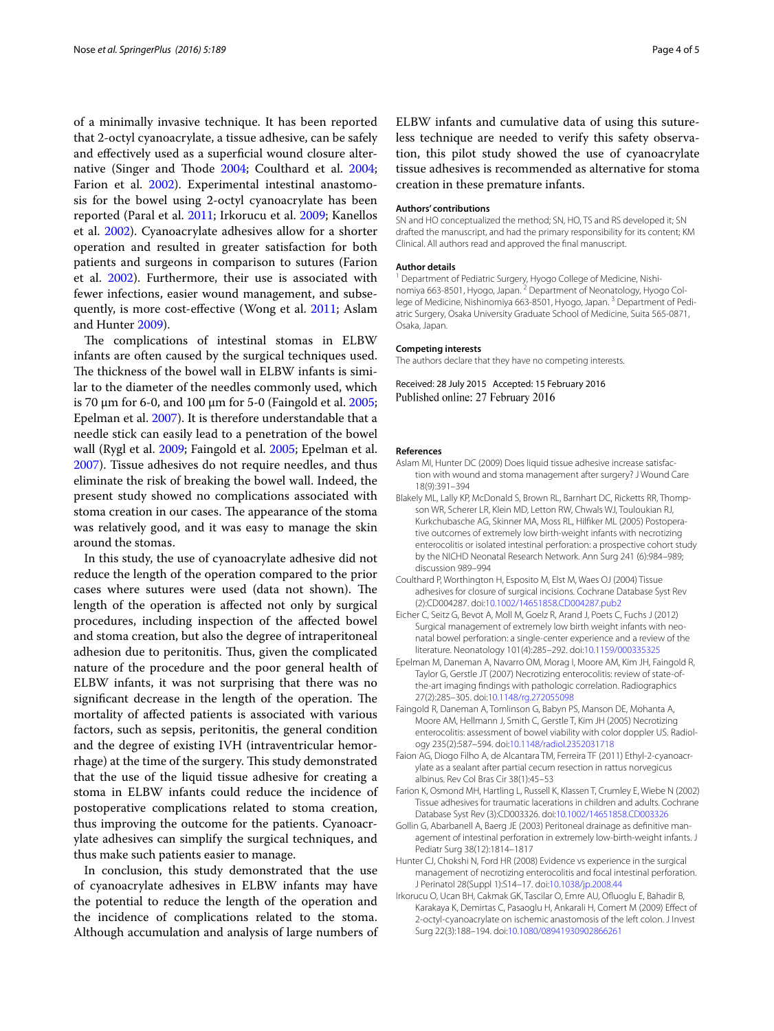of a minimally invasive technique. It has been reported that 2-octyl cyanoacrylate, a tissue adhesive, can be safely and effectively used as a superficial wound closure alternative (Singer and Thode [2004;](#page-4-0) Coulthard et al. [2004](#page-3-6); Farion et al. [2002](#page-3-1)). Experimental intestinal anastomosis for the bowel using 2-octyl cyanoacrylate has been reported (Paral et al. [2011](#page-4-14); Irkorucu et al. [2009](#page-3-7); Kanellos et al. [2002](#page-4-6)). Cyanoacrylate adhesives allow for a shorter operation and resulted in greater satisfaction for both patients and surgeons in comparison to sutures (Farion et al. [2002\)](#page-3-1). Furthermore, their use is associated with fewer infections, easier wound management, and subsequently, is more cost-effective (Wong et al. [2011;](#page-4-15) Aslam and Hunter [2009\)](#page-3-8).

The complications of intestinal stomas in ELBW infants are often caused by the surgical techniques used. The thickness of the bowel wall in ELBW infants is similar to the diameter of the needles commonly used, which is 70 μm for 6-0, and 100 μm for 5-0 (Faingold et al. [2005](#page-3-9); Epelman et al. [2007\)](#page-3-10). It is therefore understandable that a needle stick can easily lead to a penetration of the bowel wall (Rygl et al. [2009;](#page-4-16) Faingold et al. [2005](#page-3-9); Epelman et al. [2007](#page-3-10)). Tissue adhesives do not require needles, and thus eliminate the risk of breaking the bowel wall. Indeed, the present study showed no complications associated with stoma creation in our cases. The appearance of the stoma was relatively good, and it was easy to manage the skin around the stomas.

In this study, the use of cyanoacrylate adhesive did not reduce the length of the operation compared to the prior cases where sutures were used (data not shown). The length of the operation is affected not only by surgical procedures, including inspection of the affected bowel and stoma creation, but also the degree of intraperitoneal adhesion due to peritonitis. Thus, given the complicated nature of the procedure and the poor general health of ELBW infants, it was not surprising that there was no significant decrease in the length of the operation. The mortality of affected patients is associated with various factors, such as sepsis, peritonitis, the general condition and the degree of existing IVH (intraventricular hemorrhage) at the time of the surgery. This study demonstrated that the use of the liquid tissue adhesive for creating a stoma in ELBW infants could reduce the incidence of postoperative complications related to stoma creation, thus improving the outcome for the patients. Cyanoacrylate adhesives can simplify the surgical techniques, and thus make such patients easier to manage.

In conclusion, this study demonstrated that the use of cyanoacrylate adhesives in ELBW infants may have the potential to reduce the length of the operation and the incidence of complications related to the stoma. Although accumulation and analysis of large numbers of

ELBW infants and cumulative data of using this sutureless technique are needed to verify this safety observation, this pilot study showed the use of cyanoacrylate tissue adhesives is recommended as alternative for stoma creation in these premature infants.

#### **Authors' contributions**

SN and HO conceptualized the method; SN, HO, TS and RS developed it; SN drafted the manuscript, and had the primary responsibility for its content; KM Clinical. All authors read and approved the final manuscript.

#### **Author details**

<sup>1</sup> Department of Pediatric Surgery, Hyogo College of Medicine, Nishinomiya 663-8501, Hyogo, Japan. <sup>2</sup> Department of Neonatology, Hyogo College of Medicine, Nishinomiya 663-8501, Hyogo, Japan.<sup>3</sup> Department of Pediatric Surgery, Osaka University Graduate School of Medicine, Suita 565-0871, Osaka, Japan.

#### **Competing interests**

The authors declare that they have no competing interests.

Received: 28 July 2015 Accepted: 15 February 2016 Published online: 27 February 2016

#### **References**

- <span id="page-3-8"></span>Aslam MI, Hunter DC (2009) Does liquid tissue adhesive increase satisfaction with wound and stoma management after surgery? J Wound Care 18(9):391–394
- <span id="page-3-0"></span>Blakely ML, Lally KP, McDonald S, Brown RL, Barnhart DC, Ricketts RR, Thompson WR, Scherer LR, Klein MD, Letton RW, Chwals WJ, Touloukian RJ, Kurkchubasche AG, Skinner MA, Moss RL, Hilfiker ML (2005) Postoperative outcomes of extremely low birth-weight infants with necrotizing enterocolitis or isolated intestinal perforation: a prospective cohort study by the NICHD Neonatal Research Network. Ann Surg 241 (6):984–989; discussion 989–994
- <span id="page-3-6"></span>Coulthard P, Worthington H, Esposito M, Elst M, Waes OJ (2004) Tissue adhesives for closure of surgical incisions. Cochrane Database Syst Rev (2):CD004287. doi:[10.1002/14651858.CD004287.pub2](http://dx.doi.org/10.1002/14651858.CD004287.pub2)
- <span id="page-3-3"></span>Eicher C, Seitz G, Bevot A, Moll M, Goelz R, Arand J, Poets C, Fuchs J (2012) Surgical management of extremely low birth weight infants with neonatal bowel perforation: a single-center experience and a review of the literature. Neonatology 101(4):285–292. doi:[10.1159/000335325](http://dx.doi.org/10.1159/000335325)
- <span id="page-3-10"></span>Epelman M, Daneman A, Navarro OM, Morag I, Moore AM, Kim JH, Faingold R, Taylor G, Gerstle JT (2007) Necrotizing enterocolitis: review of state-ofthe-art imaging findings with pathologic correlation. Radiographics 27(2):285–305. doi:[10.1148/rg.272055098](http://dx.doi.org/10.1148/rg.272055098)
- <span id="page-3-9"></span>Faingold R, Daneman A, Tomlinson G, Babyn PS, Manson DE, Mohanta A, Moore AM, Hellmann J, Smith C, Gerstle T, Kim JH (2005) Necrotizing enterocolitis: assessment of bowel viability with color doppler US. Radiology 235(2):587–594. doi[:10.1148/radiol.2352031718](http://dx.doi.org/10.1148/radiol.2352031718)
- <span id="page-3-2"></span>Faion AG, Diogo Filho A, de Alcantara TM, Ferreira TF (2011) Ethyl-2-cyanoacrylate as a sealant after partial cecum resection in rattus norvegicus albinus. Rev Col Bras Cir 38(1):45–53
- <span id="page-3-1"></span>Farion K, Osmond MH, Hartling L, Russell K, Klassen T, Crumley E, Wiebe N (2002) Tissue adhesives for traumatic lacerations in children and adults. Cochrane Database Syst Rev (3):CD003326. doi:[10.1002/14651858.CD003326](http://dx.doi.org/10.1002/14651858.CD003326)
- <span id="page-3-4"></span>Gollin G, Abarbanell A, Baerg JE (2003) Peritoneal drainage as definitive management of intestinal perforation in extremely low-birth-weight infants. J Pediatr Surg 38(12):1814–1817
- <span id="page-3-5"></span>Hunter CJ, Chokshi N, Ford HR (2008) Evidence vs experience in the surgical management of necrotizing enterocolitis and focal intestinal perforation. J Perinatol 28(Suppl 1):S14–17. doi:[10.1038/jp.2008.44](http://dx.doi.org/10.1038/jp.2008.44)
- <span id="page-3-7"></span>Irkorucu O, Ucan BH, Cakmak GK, Tascilar O, Emre AU, Ofluoglu E, Bahadir B, Karakaya K, Demirtas C, Pasaoglu H, Ankarali H, Comert M (2009) Effect of 2-octyl-cyanoacrylate on ischemic anastomosis of the left colon. J Invest Surg 22(3):188–194. doi:[10.1080/08941930902866261](http://dx.doi.org/10.1080/08941930902866261)